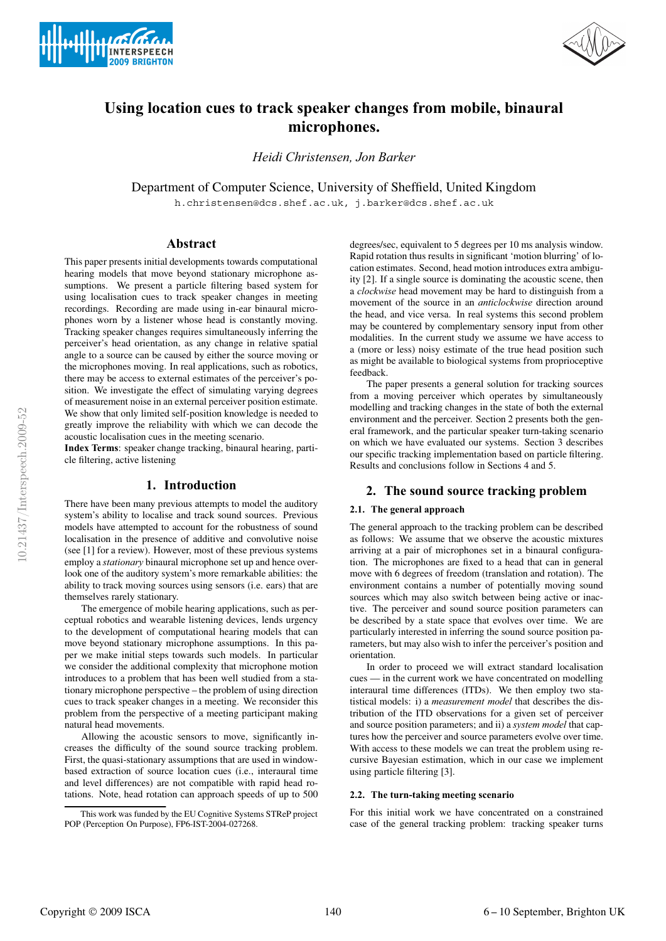



# **Using location cues to track speaker changes from mobile, binaural microphones.**

*Heidi Christensen, Jon Barker*

Department of Computer Science, University of Sheffield, United Kingdom

h.christensen@dcs.shef.ac.uk, j.barker@dcs.shef.ac.uk

## **Abstract**

This paper presents initial developments towards computational hearing models that move beyond stationary microphone assumptions. We present a particle filtering based system for using localisation cues to track speaker changes in meeting recordings. Recording are made using in-ear binaural microphones worn by a listener whose head is constantly moving. Tracking speaker changes requires simultaneously inferring the perceiver's head orientation, as any change in relative spatial angle to a source can be caused by either the source moving or the microphones moving. In real applications, such as robotics, there may be access to external estimates of the perceiver's position. We investigate the effect of simulating varying degrees of measurement noise in an external perceiver position estimate. We show that only limited self-position knowledge is needed to greatly improve the reliability with which we can decode the acoustic localisation cues in the meeting scenario.

**Index Terms**: speaker change tracking, binaural hearing, particle filtering, active listening

# **1. Introduction**

There have been many previous attempts to model the auditory system's ability to localise and track sound sources. Previous models have attempted to account for the robustness of sound localisation in the presence of additive and convolutive noise (see [1] for a review). However, most of these previous systems employ a *stationary* binaural microphone set up and hence overlook one of the auditory system's more remarkable abilities: the ability to track moving sources using sensors (i.e. ears) that are themselves rarely stationary.

The emergence of mobile hearing applications, such as perceptual robotics and wearable listening devices, lends urgency to the development of computational hearing models that can move beyond stationary microphone assumptions. In this paper we make initial steps towards such models. In particular we consider the additional complexity that microphone motion introduces to a problem that has been well studied from a stationary microphone perspective – the problem of using direction cues to track speaker changes in a meeting. We reconsider this problem from the perspective of a meeting participant making natural head movements.

Allowing the acoustic sensors to move, significantly increases the difficulty of the sound source tracking problem. First, the quasi-stationary assumptions that are used in windowbased extraction of source location cues (i.e., interaural time and level differences) are not compatible with rapid head rotations. Note, head rotation can approach speeds of up to 500

degrees/sec, equivalent to 5 degrees per 10 ms analysis window. Rapid rotation thus results in significant 'motion blurring' of location estimates. Second, head motion introduces extra ambiguity [2]. If a single source is dominating the acoustic scene, then a *clockwise* head movement may be hard to distinguish from a movement of the source in an *anticlockwise* direction around the head, and vice versa. In real systems this second problem may be countered by complementary sensory input from other modalities. In the current study we assume we have access to a (more or less) noisy estimate of the true head position such as might be available to biological systems from proprioceptive feedback.

The paper presents a general solution for tracking sources from a moving perceiver which operates by simultaneously modelling and tracking changes in the state of both the external environment and the perceiver. Section 2 presents both the general framework, and the particular speaker turn-taking scenario on which we have evaluated our systems. Section 3 describes our specific tracking implementation based on particle filtering. Results and conclusions follow in Sections 4 and 5.

## **2. The sound source tracking problem**

#### **2.1. The general approach**

The general approach to the tracking problem can be described as follows: We assume that we observe the acoustic mixtures arriving at a pair of microphones set in a binaural configuration. The microphones are fixed to a head that can in general move with 6 degrees of freedom (translation and rotation). The environment contains a number of potentially moving sound sources which may also switch between being active or inactive. The perceiver and sound source position parameters can be described by a state space that evolves over time. We are particularly interested in inferring the sound source position parameters, but may also wish to infer the perceiver's position and orientation.

In order to proceed we will extract standard localisation cues — in the current work we have concentrated on modelling interaural time differences (ITDs). We then employ two statistical models: i) a *measurement model* that describes the distribution of the ITD observations for a given set of perceiver and source position parameters; and ii) a *system model* that captures how the perceiver and source parameters evolve over time. With access to these models we can treat the problem using recursive Bayesian estimation, which in our case we implement using particle filtering [3].

### **2.2. The turn-taking meeting scenario**

For this initial work we have concentrated on a constrained case of the general tracking problem: tracking speaker turns

This work was funded by the EU Cognitive Systems STReP project POP (Perception On Purpose), FP6-IST-2004-027268.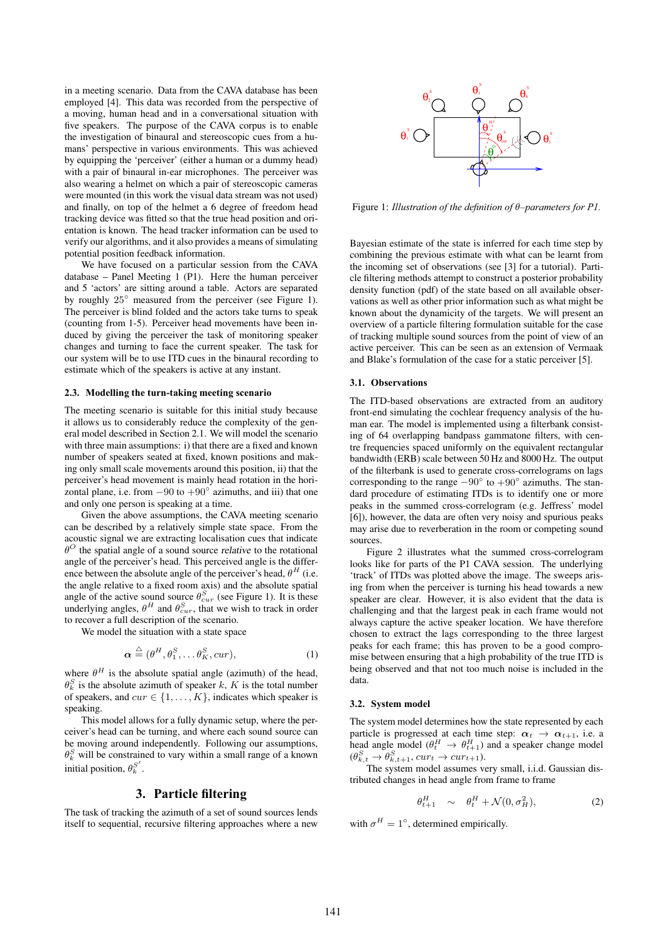in a meeting scenario. Data from the CAVA database has been employed [4]. This data was recorded from the perspective of a moving, human head and in a conversational situation with five speakers. The purpose of the CAVA corpus is to enable the investigation of binaural and stereoscopic cues from a humans' perspective in various environments. This was achieved by equipping the 'perceiver' (either a human or a dummy head) with a pair of binaural in-ear microphones. The perceiver was also wearing a helmet on which a pair of stereoscopic cameras were mounted (in this work the visual data stream was not used) and finally, on top of the helmet a 6 degree of freedom head tracking device was fitted so that the true head position and orientation is known. The head tracker information can be used to verify our algorithms, and it also provides a means of simulating potential position feedback information.

We have focused on a particular session from the CAVA database – Panel Meeting 1 (P1). Here the human perceiver and 5 'actors' are sitting around a table. Actors are separated by roughly 25◦ measured from the perceiver (see Figure 1). The perceiver is blind folded and the actors take turns to speak (counting from 1-5). Perceiver head movements have been induced by giving the perceiver the task of monitoring speaker changes and turning to face the current speaker. The task for our system will be to use ITD cues in the binaural recording to estimate which of the speakers is active at any instant.

#### **2.3. Modelling the turn-taking meeting scenario**

The meeting scenario is suitable for this initial study because it allows us to considerably reduce the complexity of the general model described in Section 2.1. We will model the scenario with three main assumptions: i) that there are a fixed and known number of speakers seated at fixed, known positions and making only small scale movements around this position, ii) that the perceiver's head movement is mainly head rotation in the horizontal plane, i.e. from  $-90$  to  $+90°$  azimuths, and iii) that one and only one person is speaking at a time.

Given the above assumptions, the CAVA meeting scenario can be described by a relatively simple state space. From the acoustic signal we are extracting localisation cues that indicate  $\theta^O$  the spatial angle of a sound source *relative* to the rotational angle of the perceiver's head. This perceived angle is the difference between the absolute angle of the perceiver's head,  $\theta^H$  (i.e. the angle relative to a fixed room axis) and the absolute spatial angle of the active sound source  $\theta_{cur}^S$  (see Figure 1). It is these underlying angles,  $\theta^H$  and  $\theta^S_{cur}$ , that we wish to track in order to recover a full description of the scenario.

We model the situation with a state space

$$
\boldsymbol{\alpha} \stackrel{\triangle}{=} (\theta^H, \theta_1^S, \dots \theta_K^S, \text{cur}), \tag{1}
$$

where  $\theta^H$  is the absolute spatial angle (azimuth) of the head,  $\theta_k^S$  is the absolute azimuth of speaker k, K is the total number of speakers, and  $cur \in \{1, \ldots, K\}$ , indicates which speaker is speaking.

This model allows for a fully dynamic setup, where the perceiver's head can be turning, and where each sound source can be moving around independently. Following our assumptions,  $\theta_k^S$  will be constrained to vary within a small range of a known initial position,  $\theta_k^{S'}$ .

## **3. Particle filtering**

The task of tracking the azimuth of a set of sound sources lends itself to sequential, recursive filtering approaches where a new



Figure 1: *Illustration of the definition of* θ*–parameters for P1.*

Bayesian estimate of the state is inferred for each time step by combining the previous estimate with what can be learnt from the incoming set of observations (see [3] for a tutorial). Particle filtering methods attempt to construct a posterior probability density function (pdf) of the state based on all available observations as well as other prior information such as what might be known about the dynamicity of the targets. We will present an overview of a particle filtering formulation suitable for the case of tracking multiple sound sources from the point of view of an active perceiver. This can be seen as an extension of Vermaak and Blake's formulation of the case for a static perceiver [5].

#### **3.1. Observations**

The ITD-based observations are extracted from an auditory front-end simulating the cochlear frequency analysis of the human ear. The model is implemented using a filterbank consisting of 64 overlapping bandpass gammatone filters, with centre frequencies spaced uniformly on the equivalent rectangular bandwidth (ERB) scale between 50 Hz and 8000 Hz. The output of the filterbank is used to generate cross-correlograms on lags corresponding to the range  $-90°$  to  $+90°$  azimuths. The standard procedure of estimating ITDs is to identify one or more peaks in the summed cross-correlogram (e.g. Jeffress' model [6]), however, the data are often very noisy and spurious peaks may arise due to reverberation in the room or competing sound sources.

Figure 2 illustrates what the summed cross-correlogram looks like for parts of the P1 CAVA session. The underlying 'track' of ITDs was plotted above the image. The sweeps arising from when the perceiver is turning his head towards a new speaker are clear. However, it is also evident that the data is challenging and that the largest peak in each frame would not always capture the active speaker location. We have therefore chosen to extract the lags corresponding to the three largest peaks for each frame; this has proven to be a good compromise between ensuring that a high probability of the true ITD is being observed and that not too much noise is included in the data.

#### **3.2. System model**

The system model determines how the state represented by each particle is progressed at each time step:  $\alpha_t \rightarrow \alpha_{t+1}$ , i.e. a head angle model  $(\theta_t^H \rightarrow \theta_{t+1}^H)$  and a speaker change model  $(\theta_{k,t}^S \rightarrow \theta_{k,t+1}^S, cur_t \rightarrow cur_{t+1}).$ 

The system model assumes very small, i.i.d. Gaussian distributed changes in head angle from frame to frame

$$
\theta_{t+1}^H \sim \theta_t^H + \mathcal{N}(0, \sigma_H^2), \tag{2}
$$

with  $\sigma^H = 1^\circ$ , determined empirically.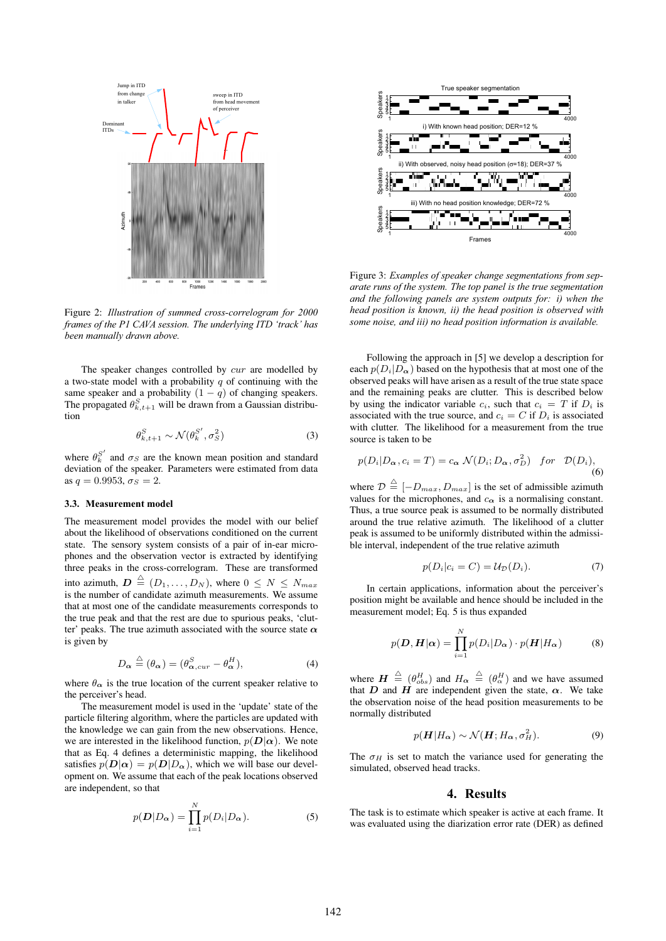

Figure 2: *Illustration of summed cross-correlogram for 2000 frames of the P1 CAVA session. The underlying ITD 'track' has been manually drawn above.*

The speaker changes controlled by *cur* are modelled by a two-state model with a probability  $q$  of continuing with the same speaker and a probability  $(1 - q)$  of changing speakers. The propagated  $\theta_{k,t+1}^S$  will be drawn from a Gaussian distribution

$$
\theta_{k,t+1}^S \sim \mathcal{N}(\theta_k^{S'}, \sigma_S^2)
$$
 (3)

where  $\theta_k^{S'}$  and  $\sigma_S$  are the known mean position and standard deviation of the speaker. Parameters were estimated from data as  $q = 0.9953, \sigma_s = 2$ .

#### **3.3. Measurement model**

The measurement model provides the model with our belief about the likelihood of observations conditioned on the current state. The sensory system consists of a pair of in-ear microphones and the observation vector is extracted by identifying three peaks in the cross-correlogram. These are transformed into azimuth,  $\mathbf{D} \triangleq (D_1, \ldots, D_N)$ , where  $0 \leq N \leq N_{max}$ is the number of candidate azimuth measurements. We assume that at most one of the candidate measurements corresponds to the true peak and that the rest are due to spurious peaks, 'clutter' peaks. The true azimuth associated with the source state  $\alpha$ is given by

$$
D_{\alpha} \stackrel{\triangle}{=} (\theta_{\alpha}) = (\theta_{\alpha, cur}^{S} - \theta_{\alpha}^{H}), \tag{4}
$$

where  $\theta_{\alpha}$  is the true location of the current speaker relative to the perceiver's head.

The measurement model is used in the 'update' state of the particle filtering algorithm, where the particles are updated with the knowledge we can gain from the new observations. Hence, we are interested in the likelihood function,  $p(D|\alpha)$ . We note that as Eq. 4 defines a deterministic mapping, the likelihood satisfies  $p(D|\alpha) = p(D|D_\alpha)$ , which we will base our development on. We assume that each of the peak locations observed are independent, so that

$$
p(\mathbf{D}|D_{\alpha}) = \prod_{i=1}^{N} p(D_i|D_{\alpha}).
$$
 (5)



Figure 3: *Examples of speaker change segmentations from separate runs of the system. The top panel is the true segmentation and the following panels are system outputs for: i) when the head position is known, ii) the head position is observed with some noise, and iii) no head position information is available.*

Following the approach in [5] we develop a description for each  $p(D_i|D_{\alpha})$  based on the hypothesis that at most one of the observed peaks will have arisen as a result of the true state space and the remaining peaks are clutter. This is described below by using the indicator variable  $c_i$ , such that  $c_i = T$  if  $D_i$  is associated with the true source, and  $c_i = C$  if  $D_i$  is associated with clutter. The likelihood for a measurement from the true source is taken to be

$$
p(D_i|D_{\alpha}, c_i = T) = c_{\alpha} \mathcal{N}(D_i; D_{\alpha}, \sigma_D^2) \quad \text{for} \quad \mathcal{D}(D_i),
$$
\n(6)

where  $\mathcal{D} \triangleq [-D_{max}, D_{max}]$  is the set of admissible azimuth values for the microphones, and  $c_{\alpha}$  is a normalising constant. Thus, a true source peak is assumed to be normally distributed around the true relative azimuth. The likelihood of a clutter peak is assumed to be uniformly distributed within the admissible interval, independent of the true relative azimuth

$$
p(D_i|c_i = C) = U_D(D_i). \tag{7}
$$

In certain applications, information about the perceiver's position might be available and hence should be included in the measurement model; Eq. 5 is thus expanded

$$
p(\boldsymbol{D}, \boldsymbol{H}|\boldsymbol{\alpha}) = \prod_{i=1}^{N} p(D_i|D_{\boldsymbol{\alpha}}) \cdot p(\boldsymbol{H}|H_{\boldsymbol{\alpha}})
$$
(8)

where  $\mathbf{H} \stackrel{\triangle}{=} (\theta_{obs}^H)$  and  $H_{\alpha} \stackrel{\triangle}{=} (\theta_{\alpha}^H)$  and we have assumed that D and H are independent given the state,  $\alpha$ . We take the observation noise of the head position measurements to be normally distributed

$$
p(\boldsymbol{H}|H_{\alpha}) \sim \mathcal{N}(\boldsymbol{H}; H_{\alpha}, \sigma_H^2). \tag{9}
$$

The  $\sigma_H$  is set to match the variance used for generating the simulated, observed head tracks.

## **4. Results**

The task is to estimate which speaker is active at each frame. It was evaluated using the diarization error rate (DER) as defined